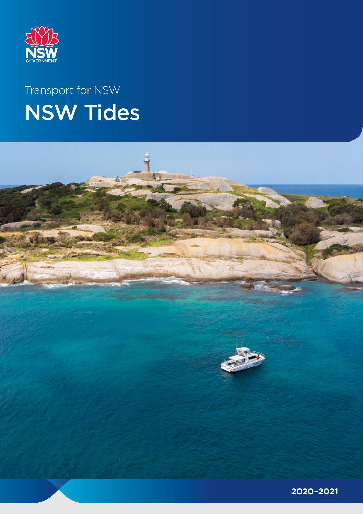

# Transport for NSW NSW Tides



**2020–2021**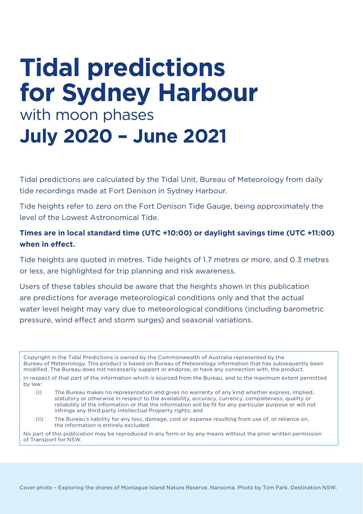# **Tidal predictions for Sydney Harbour** with moon phases **July 2020 – June 2021**

Tidal predictions are calculated by the Tidal Unit, Bureau of Meteorology from daily tide recordings made at Fort Denison in Sydney Harbour.

Tide heights refer to zero on the Fort Denison Tide Gauge, being approximately the level of the Lowest Astronomical Tide.

#### **Times are in local standard time (UTC +10:00) or daylight savings time (UTC +11:00) when in effect.**

Tide heights are quoted in metres. Tide heights of 1.7 metres or more, and 0.3 metres or less, are highlighted for trip planning and risk awareness.

Users of these tables should be aware that the heights shown in this publication are predictions for average meteorological conditions only and that the actual water level height may vary due to meteorological conditions (including barometric pressure, wind effect and storm surges) and seasonal variations.

Copyright in the Tidal Predictions is owned by the Commonwealth of Australia represented by the Bureau of Meteorology. This product is based on Bureau of Meteorology information that has subsequently been modified. The Bureau does not necessarily support or endorse, or have any connection with, the product.

In respect of that part of the information which is sourced from the Bureau, and to the maximum extent permitted by law:

- (i) The Bureau makes no representation and gives no warranty of any kind whether express, implied, statutory or otherwise in respect to the availability, accuracy, currency, completeness, quality or reliability of the information or that the information will be fit for any particular purpose or will not infringe any third party Intellectual Property rights; and
- (ii) The Bureau's liability for any loss, damage, cost or expense resulting from use of, or reliance on, the information is entirely excluded.

No part of this publication may be reproduced in any form or by any means without the prior written permission of Transport for NSW.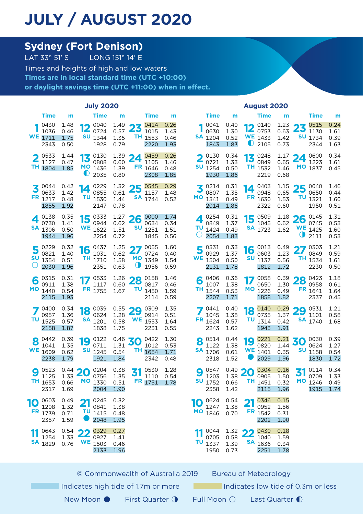### **JULY / AUGUST 2020**

# **Sydney (Fort Denison)**<br>LAT 33° 51' S<br>LONG 151° 14' E

LONG 151° 14' E Times and heights of high and low waters **Times are in local standard time (UTC +10:00) or daylight savings time (UTC +11:00) when in effect.**

|                                                                  |                              | <b>July 2020</b>                                                |                                                | <b>August 2020</b>                                                 |                              |                             |                                                              |           |                                                         |                                             |                    |                                        |                              |
|------------------------------------------------------------------|------------------------------|-----------------------------------------------------------------|------------------------------------------------|--------------------------------------------------------------------|------------------------------|-----------------------------|--------------------------------------------------------------|-----------|---------------------------------------------------------|---------------------------------------------|--------------------|----------------------------------------|------------------------------|
| <b>Time</b>                                                      | m                            | Time                                                            | m                                              | <b>Time</b>                                                        | m                            |                             | <b>Time</b>                                                  | m         | <b>Time</b>                                             | m                                           |                    | Time                                   | m                            |
| 0430<br>1036<br><b>WE</b> 1711<br>2343                           | 1.48<br>0.46<br>1.75<br>0.50 | 0040<br>12<br>0724<br><b>SU</b> 1344<br>1928                    | 1.49<br>0.57<br>1.35<br>0.79                   | 0414<br>23<br>1015<br><b>TH</b> 1553<br>2220                       | 0.26<br>1.43<br>0.46<br>1.93 | <b>SA</b> 1204              | 0041<br>0.40<br>0630<br>1.30<br>0.52<br>1.83<br>1843         |           | $12^{0140}_{0753}$<br><b>WE</b> 1433<br>$\bullet$ 2105  | 1.23<br>0.63<br>1.42<br>0.73                | 23                 | 0515<br>1130<br><b>SU</b> 1734<br>2344 | 0.24<br>1.61<br>0.39<br>1.63 |
| 0533<br>1127<br>ΤН<br>1804                                       | 1.44<br>0.47<br>1.85         | 13 $_{0.000}^{0.130}$<br>0808<br>MO 1436<br>$\overline{0}$ 2035 | $\frac{1.39}{0.60}$ 24<br>0.60<br>1.39<br>0.80 | 0459<br>1105<br>FR 1646<br>2308                                    | 0.26<br>1.46<br>0.48<br>1.85 | รบ                          | 0.34<br>0130<br>0721<br>1.33<br>1254<br>0.50<br>1930<br>1.86 |           | 13 0248<br>0849<br>TH 1532<br>2219                      | $^{1.17}_{0.65}$ 24<br>0.65<br>1.46<br>0.68 |                    | 0600<br>1223<br>MO 1837                | 0.34<br>1.61<br>0.45         |
| 0044<br>0633<br>FR 1217<br>1855                                  | 0.42<br>1.42<br>0.48<br>1.92 | 0229<br>14<br>0855<br>TU 1530<br>2147                           | 1.32<br>0.61<br>1.44<br>0.78                   | $25\frac{0545}{1157}$<br>1157<br><b>SA</b> 1744                    | 0.29<br>1.48<br>0.52         | 3<br>МO                     | 0.31<br>0214<br>0807<br>1.35<br>1341<br>0.49<br>2014<br>1.86 | 14        | 0403<br>0948<br>FR 1630<br>2322                         | $1.15$ 25 0040<br>0.65<br>1.53<br>0.60      | τu                 | 0650<br>1321<br>1950                   | 1.46<br>0.44<br>1.60<br>0.51 |
| 0138<br>$\boldsymbol{\Lambda}$<br>0730<br><b>SA</b> 1306<br>1944 | 0.35<br>1.41<br>0.50<br>1.96 | 15 $^{0333}_{0944}$<br>0944<br><b>WE</b> 1622<br>2254           | 0.62<br>1.51<br>0.72                           | $^{1.27}_{0.62}$ 26 $^{0000}_{0634}$<br>0634<br>SU<br>1251<br>1845 | 1.74<br>0.34<br>1.51<br>0.56 | $\blacktriangle$<br>ΤU<br>Ő | 0254<br>0.31<br>0849<br>1.37<br>1424<br>0.49<br>2054<br>1.83 |           | $15^{0509}_{1045}$<br>1045<br><b>SA</b> 1723            | $\frac{1.18}{0.62}$ 26 0145<br>0.62<br>1.62 | Φ                  | 0745<br><b>WE</b> 1425<br>2111         | 1.31<br>0.53<br>1.60<br>0.53 |
| 0229<br>0821<br>SU<br>1354<br>$\left( \right)$<br>2030           | 0.32<br>1.40<br>0.51<br>1.96 | $16 \tfrac{0437}{1031}$<br>1031<br>TH 1710<br>2351              | 1.25<br>0.62<br>1.58<br>0.63                   | $\sqrt{0055}$<br>27<br>0724<br>MO 1349<br>◑<br>1956                | 1.60<br>0.40<br>1.54<br>0.59 | ၁<br>WE                     | 0331<br>0.33<br>0929<br>1.37<br>1504<br>0.50<br>2131<br>1.78 |           | $16\degree 0013$<br>0603<br><b>SU</b> 1137<br>1812      | $^{0.49}_{1.27}$ 27<br>1.23<br>0.56<br>1.72 |                    | 0303<br>0849<br>TH 1534<br>2230        | 1.21<br>0.59<br>1.61<br>0.50 |
| 0315<br>6<br>0911<br>MO 1440<br>2115                             | 0.31<br>1.38<br>0.54<br>1.93 | 0533<br>1117<br>FR 1755                                         | 1.26<br>0.60<br>1.67                           | 0158<br>28<br>0817<br>ΤU<br>1450<br>2114                           | 1.46<br>0.46<br>1.59<br>0.59 | 6<br>TH 1544                | 0406<br>0.36<br>1007<br>1.38<br>0.53<br>2207<br>1.71         |           | 0058<br>0650<br>MO 1226<br>1858                         | 0.39<br>1.30<br>0.49<br>1.82                | 28                 | 0423<br>0958<br>FR 1641<br>2337        | 1.18<br>0.61<br>1.64<br>0.45 |
| 0400<br>0957<br>TU 1525<br>2158                                  | 0.34<br>1.36<br>0.57<br>1.87 | $18^{0039}_{0624}$<br>0624<br><b>SA</b> 1201<br>1838            | $\frac{0.55}{1.28}$ 29<br>1.28<br>0.58<br>1.75 | 0309<br>0914<br>WE<br>1553<br>2231                                 | 1.35<br>0.51<br>1.64<br>0.55 | FR 1624                     | 0441<br>0.40<br>1.38<br>1045<br>0.57<br>2243<br>1.62         |           | $18\frac{0140}{0775}$<br>0735<br><b>TU</b> 1314<br>1943 | 0.29<br>1.37<br>0.42<br>1.91                | $29^{0531}_{1101}$ | 1101<br><b>SA</b> 1740                 | 1.21<br>0.58<br>1.68         |
| 0442<br>8<br>1041<br>WE<br>1609<br>2238                          | 0.39<br>1.35<br>0.62<br>1.79 | 0122<br>19<br>0711<br><b>SU</b> 1245<br>1921                    | $^{0.46}_{1.71}$ 30<br>1.31<br>0.54<br>1.84    | 0422<br>1012<br>TH 1654<br>2342                                    | 1.30<br>0.53<br>1.71<br>0.48 | 8<br>SA                     | 0514<br>0.44<br>1122<br>1.38<br>1706<br>0.61<br>2318<br>1.52 | 19        | 0221<br>0820<br><b>WE</b> 1401<br>2029                  | $\frac{0.21}{1.44}$ 30<br>0.35<br>1.96      |                    | 0030<br>0624<br><b>SU</b> 1158<br>1830 | 0.39<br>1.27<br>0.54<br>1.72 |
| 0523<br>9<br>1125<br>TН<br>1653<br>2317                          | 1.33<br>0.66<br>1.69         | $0.44$ 20<br>0204<br>0756<br>MO 1330<br>2004                    | 0.38<br>1.35<br>0.51<br>1.90                   | 0530<br>31<br>1110<br>FR 1751                                      | 1.28<br>0.54<br>1.78         | O<br>SU                     | 0547<br>0.49<br>1203<br>1.38<br>1752<br>0.66<br>2358<br>1.42 | <b>20</b> | 0304<br>0905<br>TH 1451<br>2115                         | 0.16<br>1.50<br>0.32<br>1.96                | 31<br>MО           | 0114<br>0709<br>1246<br>1915           | 0.34<br>1.33<br>0.49<br>1.74 |
| 0603<br>10<br>1208<br>FR<br>1739<br>2357                         | 0.49<br>1.32<br>0.71<br>1.59 | 0245<br>21<br>0841<br><b>TU</b> 1415<br>2048                    | 0.32<br>1.38<br>0.48<br>1.95                   |                                                                    |                              | 10<br><b>MO</b>             | 0624<br>0.54<br>1247<br>1.38<br>1846<br>0.70                 | 21        | 0346<br>0952<br>FR 1542<br>2202                         | 0.15<br>1.56<br>0.31<br>1.90                |                    |                                        |                              |
| 0643<br>1254<br><b>SA</b> 1829                                   | 0.54<br>1.33<br>0.76         | 0329<br>22<br>0927<br>WE<br>1503<br>2133                        | 0.27<br>1.41<br>0.46<br>1.96                   |                                                                    |                              | 11<br>τυ                    | 1.32<br>0044<br>0705<br>0.58<br>1337<br>1.39<br>1950<br>0.73 | 22<br>SA  | 0430<br>1040<br>1636<br>2251                            | 0.18<br>1.59<br>0.34<br>1.78                |                    |                                        |                              |
|                                                                  |                              |                                                                 |                                                |                                                                    |                              |                             |                                                              |           |                                                         |                                             |                    |                                        |                              |

© Commonwealth of Australia 2019 Bureau of Meteorology Indicates high tide of 1.7m or more **Indicates low tide of 0.3m or less** New Moon ● First Quarter ↑ Full Moon ○ Last Quarter ●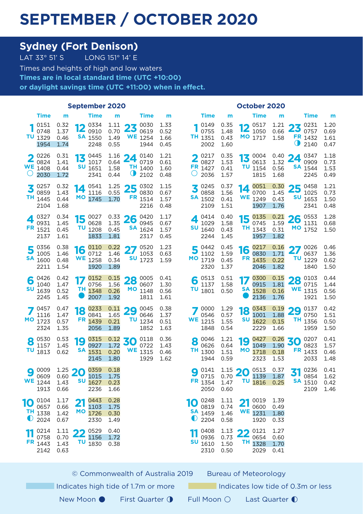#### **SEPTEMBER / OCTOBER 2020**

## **Sydney (Fort Denison)**<br>LAT 33° 51' S<br>LONG 151° 14' E

LONG 151° 14' E Times and heights of high and low waters **Times are in local standard time (UTC +10:00) or daylight savings time (UTC +11:00) when in effect.**

|                  | <b>September 2020</b>                  |                                                |    |                                                             |                                                |                 |                                                                        |                              | October 2020    |                                        |                                                |                       |                                                      |                                                |                     |                                                                              |                              |
|------------------|----------------------------------------|------------------------------------------------|----|-------------------------------------------------------------|------------------------------------------------|-----------------|------------------------------------------------------------------------|------------------------------|-----------------|----------------------------------------|------------------------------------------------|-----------------------|------------------------------------------------------|------------------------------------------------|---------------------|------------------------------------------------------------------------------|------------------------------|
|                  | <b>Time</b>                            | m                                              |    | <b>Time</b>                                                 | m                                              |                 | <b>Time</b>                                                            | m                            |                 | <b>Time</b>                            | m                                              |                       | <b>Time</b>                                          | m                                              |                     | <b>Time</b>                                                                  | m                            |
|                  | 0151<br>0748<br>$TU$ 1329<br>1954      | 0.32<br>1.37<br>0.46<br>1.74                   | 16 | 0334<br>$\sum_{0910}$<br><b>SA</b> 1550<br>2248             | 0.70<br>1.49<br>0.55                           |                 | $^{1.11}_{0.70}$ 23 $^{0030}_{0619}$<br>0619<br><b>WE</b> 1254<br>1944 | 1.33<br>0.52<br>1.66<br>0.45 |                 | 0149<br>0755<br>TH 1351<br>2002        | 0.35<br>1.48<br>0.43<br>1.60                   |                       | $12^{0517}$<br>MO 1717                               | 0.66<br>1.58                                   | Φ                   | $^{1.21}_{0.66}$ 23 $^{0231}_{0757}$<br>0757<br>FR 1432<br>2140              | 1.20<br>0.69<br>1.61<br>0.47 |
| $\left( \right)$ | 0226<br>0824<br><b>WE</b> 1408<br>2030 | 0.31<br>1.41<br>0.44<br>1.72                   |    | 13 $^{0445}_{1017}$<br>1017<br><b>SU</b> 1651<br>2341       | 1.16<br>0.64<br>1.58<br>0.44                   | 24<br>$\bullet$ | 0140<br>0719<br><b>TH</b> 1400<br>2102                                 | 1.21<br>0.61<br>1.60<br>0.48 | ( )             | 0217<br>0827<br>FR 1427<br>2036        | 0.35<br>1.53<br>0.41<br>1.57                   |                       | $13^{0004}_{0617}$<br>0613<br><b>TU</b> 1154<br>1815 | 1.32<br>0.56<br>1.68                           | $^{0.40}_{1.22}$ 24 | 0347<br>0909<br><b>SA</b> 1544<br>2245                                       | 1.18<br>0.73<br>1.53<br>0.49 |
| 3                | 0257<br>0859<br>TH 1445<br>2104        | 0.32<br>1.43<br>0.44<br>1.68                   |    | $14^{0541}$<br>1116<br>MO 1745                              | 0.55<br>1.70                                   |                 | $^{1.25}_{0.55}$ 25 0302<br>0830<br>FR 1514<br>2216                    | 1.15<br>0.67<br>1.57<br>0.48 | z               | 0245<br>0858<br><b>SA</b> 1502<br>2109 | 0.37<br>1.56<br>0.41<br>1.51                   | 14<br>WE              | 0051<br>0700<br>1249<br>1907                         | 1.45<br>0.43<br>1.76                           | SU                  | $\frac{0.30}{1.45}$ 25 $\frac{0458}{1025}$<br>1025<br>1653<br>2341           | 1.21<br>0.73<br>1.50<br>0.48 |
|                  | 0327<br>0931<br><b>FR</b> 1521<br>2137 | 0.34<br>1.45<br>0.45<br>1.61                   |    | $15 \, \frac{0027}{0620}$<br>0628<br><b>TU</b> 1208<br>1833 | $\frac{0.33}{1.35}$ 26<br>1.35<br>0.45<br>1.81 |                 | 0420<br>0945<br><b>SA</b> 1624<br>2317                                 | 1.17<br>0.67<br>1.57<br>0.45 | SU              | 0414<br>1029<br>1640<br>2244           | 0.40<br>1.58<br>0.43<br>1.45                   |                       | $15 \frac{0135}{0745}$<br>0745<br>TH 1343<br>1957    | 1.59<br>0.31<br>1.82                           |                     | $\frac{0.21}{1.59}$ 26 $\frac{0.553}{11.31}$<br>1131<br>MO 1752              | 1.28<br>0.68<br>1.50         |
| 5                | 0356<br>1005<br><b>SA</b> 1600<br>2211 | 0.38<br>1.46<br>0.48<br>1.54                   | 16 | 0110<br>0712<br><b>WE</b> 1258<br>1920                      | 0.22<br>1.46<br>0.34<br>1.89                   | 27              | 0520<br>1053<br><b>SU</b> 1723                                         | 1.23<br>0.63<br>1.59         | 5               | 0442<br>1102<br>MO 1719<br>2320        | 0.45<br>1.59<br>0.45<br>1.37                   | 16                    | 0217<br>0830<br>FR 1435<br>2046                      | 0.16<br>1.71<br>0.22<br>1.82                   |                     | $27^{0026}_{0637}$<br>0637<br><b>TU</b> 1229<br>1840                         | 0.46<br>1.36<br>0.62<br>1.50 |
| 6                | 0426<br>1040<br><b>SU</b> 1639<br>2245 | 0.42<br>1.47<br>0.52<br>1.45                   | TH | 0152<br>0756<br>1348<br>2007                                | 1.56<br>0.26<br>1.92                           |                 | $\frac{0.15}{1.56}$ 28 0005<br>0607<br><b>MO</b> 1148<br>1811          | 0.41<br>1.30<br>0.56<br>1.61 | TU              | 6 $^{0513}_{1177}$<br>1137<br>1801     | 0.51<br>1.58<br>0.50                           | $\overline{17}$<br>SA | 0300<br>0915<br>1528<br>2136                         | 1.81<br>0.16<br>1.76                           |                     | $\frac{0.15}{1.81}$ 28 $\frac{0103}{0715}$<br>0715<br><b>WE</b> 1315<br>1921 | 0.44<br>1.44<br>0.56<br>1.50 |
|                  | 0457<br>1116<br>MO 1723<br>2324        | 0.47<br>1.47<br>0.57<br>1.35                   | 18 | 0233<br>0841<br>FR 1439<br>2056                             | $\frac{0.11}{1.65}$ 29<br>1.65<br>0.21<br>1.89 | τu              | 0045<br>0646<br>1234<br>1852                                           | 0.38<br>1.37<br>0.51<br>1.63 |                 | 0000<br>0546<br><b>WE</b> 1215<br>1848 | 1.29<br>0.57<br>1.55<br>0.54                   | 18                    | 0343<br>1001<br><b>SU</b> 1622<br>2229               | $\frac{0.19}{1.88}$ 29<br>1.88<br>0.15<br>1.66 |                     | 0137<br>0750<br>TH 1356<br>1959                                              | 0.42<br>1.51<br>0.50<br>1.50 |
| 8<br>τυ          | 0530<br>1157<br>1813                   | 0.53<br>1.45<br>0.62                           | 19 | 0315<br>0927<br>SA 1531<br>2145                             | $\frac{0.12}{1.72}$ 30<br>1.72<br>0.20<br>1.80 | <b>WE</b>       | 0118<br>0722<br>1315<br>1929                                           | 0.36<br>1.43<br>0.46<br>1.62 | 8<br>TH.        | 0046<br>0626<br>1300<br>1944           | 1.21<br>0.64<br>1.51<br>0.59                   | 19                    | 0427<br>1049<br>MO 1718<br>2323                      | $\frac{0.26}{1.90}$ 30<br>1.90<br>0.18<br>1.53 | FR.                 | 0207<br>0823<br>1433<br>2033                                                 | 0.41<br>1.57<br>0.46<br>1.48 |
| 9                | 0009<br>0609<br><b>WE</b> 1244<br>1913 | $\frac{1.25}{0.60}$ 20<br>0.60<br>1.43<br>0.66 |    | 0359<br>1015<br><b>SU</b> 1627<br>2236                      | 0.18<br>1.75<br>0.23<br>1.66                   |                 |                                                                        |                              | FR              | 0141<br>0715<br>1354<br>2050           | $\frac{1.15}{0.70}$ 20<br>0.70<br>1.47<br>0.60 |                       | 0513<br>1139<br>TU <sub>1816</sub>                   | 0.37<br>1.87<br>0.25                           | 31                  | 0236<br>0854<br><b>SA</b> 1510<br>2109                                       | 0.41<br>1.62<br>0.42<br>1.46 |
| 10<br>$\bullet$  | 0104<br>0657<br>TH 1338<br>2024        | 1.17<br>0.66<br>1.42<br>0.67                   | 21 | 0443<br>1103<br>MO 1726<br>2330                             | 0.28<br>1.75<br>0.30<br>1.49                   |                 |                                                                        |                              | 10<br>$\bullet$ | 0248<br>0819<br><b>SA</b> 1459<br>2204 | 1.11<br>0.74<br>1.46<br>0.58                   | 21                    | 0019<br>0600<br><b>WE</b> 1231<br>1920               | 1.39<br>0.49<br>1.80<br>0.33                   |                     |                                                                              |                              |
| 11               | 0214<br>0758<br>FR 1443<br>2142        | 1.11<br>0.70<br>1.43<br>0.63                   | 22 | 0529<br>1156<br><b>TU</b> 1830                              | 0.40<br>1.72<br>0.38                           |                 |                                                                        |                              | 11<br>SU        | 0408<br>0936<br>1610<br>2310           | 1.13<br>0.73<br>1.50<br>0.50                   | 22<br>TН              | 0121<br>0654<br>1328<br>2029                         | 1.27<br>0.60<br>1.70<br>0.41                   |                     |                                                                              |                              |

© Commonwealth of Australia 2019 Bureau of Meteorology

Indicates high tide of 1.7m or more Indicates low tide of 0.3m or less

- New Moon First Quarter ↑ Full Moon Last Quarter ●
- 
-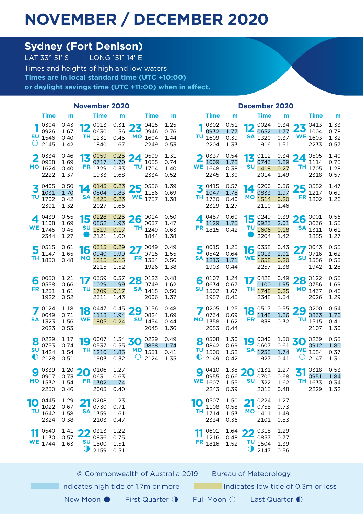### **NOVEMBER / DECEMBER 2020**

# **Sydney (Fort Denison)**<br>LAT 33° 51' S<br>LONG 151° 14' E

LONG  $151^\circ$  14' E Times and heights of high and low waters **Times are in local standard time (UTC +10:00) or daylight savings time (UTC +11:00) when in effect.**

|        | <b>November 2020</b>                   |                                                |          |                                                |                                                |         |                                               |                              | December 2020  |                                        |                              |           |                                                         |                                                |                              |                                                                                |                              |
|--------|----------------------------------------|------------------------------------------------|----------|------------------------------------------------|------------------------------------------------|---------|-----------------------------------------------|------------------------------|----------------|----------------------------------------|------------------------------|-----------|---------------------------------------------------------|------------------------------------------------|------------------------------|--------------------------------------------------------------------------------|------------------------------|
|        | Time                                   | m                                              |          | Time                                           | m                                              |         | <b>Time</b>                                   | m                            |                | <b>Time</b>                            | m                            |           | Time                                                    | m                                              |                              | Time                                                                           | m                            |
| $\cup$ | 0304<br>0926<br><b>SU</b> 1546<br>2145 | 0.43<br>1.67<br>0.40<br>1.42                   | 12       | 0013<br>0630<br><b>TH</b> 1231<br>1840         | $\frac{0.31}{1.56}$ 23<br>1.56<br>0.45<br>1.67 |         | 0415<br>0946<br>MO 1604<br>2249               | 1.25<br>0.76<br>1.44<br>0.53 | τu             | 0302<br>0932<br>1609<br>2204           | 0.51<br>1.77<br>0.39<br>1.33 | 12        | 0024<br>0652<br><b>SA</b> 1320<br>1916                  | 1.77<br>0.37<br>1.51                           |                              | $\frac{0.34}{1.77}$ 23 $\frac{0413}{1004}$<br>1004<br><b>WE</b> 1603<br>2233   | 1.33<br>0.78<br>1.32<br>0.57 |
|        | 0334<br>0958<br>MO 1624<br>2222        | 0.46<br>1.69<br>0.40<br>1.37                   | 13       | 0059<br>0717<br>FR 1329<br>1933                | 0.25<br>1.70<br>0.33<br>1.68                   | 24      | 0509<br>1055<br><b>TU</b> 1704<br>2334        | 1.31<br>0.74<br>1.40<br>0.52 | WE             | 0337<br>1009<br>1648<br>2245           | 0.54<br>1.78<br>0.38<br>1.30 | 13        | 0112<br>0743<br><b>SU</b> 1418<br>2014                  | $\frac{0.34}{1.00}$ 24<br>1.89<br>0.27<br>1.49 |                              | 0505<br>1114<br>TH 1705<br>2318                                                | 1.40<br>0.75<br>1.28<br>0.57 |
| τu     | 0405<br>1031<br>1702<br>2301           | 0.50<br>1.70<br>0.42<br>1.32                   | 14<br>SA | 0143<br>0804<br>1425<br>2027                   | 0.23<br>1.83<br>0.23<br>1.66                   |         | $25^{0556}_{1156}$<br>1156<br><b>WE</b> 1757  | 1.39<br>0.69<br>1.38         | ΤН             | 0415<br>1047<br>1730<br>2329           | 0.57<br>1.78<br>0.40<br>1.27 | 14<br>MО  | 0200<br>0833<br>1514<br>2110                            | 1.97<br>0.20<br>1.46                           |                              | $\frac{0.36}{1.97}$ 25 0552<br>1217<br>FR 1802                                 | 1.47<br>0.69<br>1.26         |
|        | 0439<br>1108<br><b>WE</b> 1745<br>2344 | 0.55<br>1.69<br>0.45<br>1.27                   | 15       | 0228<br>0852<br><b>SU</b> 1519<br>2121         | 0.25<br>1.93<br>0.17<br>1.60                   |         | $26^{0014}_{0637}$<br>0637<br>TH 1249<br>1844 | 0.50<br>1.47<br>0.63<br>1.38 |                | 0457<br>1129<br>FR 1815                | 0.60<br>1.75<br>0.42         |           | $15\frac{0249}{0227}$<br>0923<br><b>TU</b> 1606<br>2204 | 2.01<br>0.18<br>1.42                           |                              | $\frac{0.39}{2.01}$ 26 $\frac{0.001}{0.636}$<br>0636<br><b>SA</b> 1311<br>1855 | 0.56<br>1.55<br>0.61<br>1.27 |
|        | 0515<br>1147<br>TH 1830                | 0.61<br>1.65<br>0.48                           | 16<br>MО | 0313<br>0940<br>1615<br>2215                   | 0.29<br>1.99<br>0.15<br>1.52                   | 27      | 0049<br>0715<br>FR 1334<br>1926               | 0.49<br>1.55<br>0.56<br>1.38 | SA             | $5^{0015}$<br>0542<br>1213<br>1903     | 1.25<br>0.64<br>1.71<br>0.44 |           | $16\frac{0338}{1013}$<br>1013<br><b>WE</b> 1658<br>2257 | 0.43<br>2.01<br>0.20<br>1.38                   | 27<br>SU                     | 0043<br>0716<br>1356<br>1942                                                   | 0.55<br>1.62<br>0.53<br>1.28 |
| 6      | 0030<br>0558<br>FR 1231<br>1922        | 1.21<br>0.66<br>1.61<br>0.52                   | ΤU       | 0359<br>1029<br>1709<br>2311                   | 0.37<br>1.99<br>0.17<br>1.43                   | 28      | 0123<br>0749<br><b>SA</b> 1415<br>2006        | 0.48<br>1.62<br>0.50<br>1.37 | 6              | 0107<br>0634<br><b>SU</b> 1302<br>1957 | 1.24<br>0.67<br>1.67<br>0.45 | TН        | 0428<br>1100<br>1748<br>2348                            | 1.95<br>0.25<br>1.34                           | $\frac{0.49}{1.95}$ 28       | 0122<br>0756<br>MO 1437<br>2026                                                | 0.55<br>1.69<br>0.46<br>1.29 |
|        | 0124<br>0649<br><b>SA</b> 1323<br>2023 | 1.18<br>0.71<br>1.56<br>0.53                   | 18       | 0447<br>1118<br><b>WE</b> 1805                 | $\frac{0.45}{1.94}$ 29<br>0.24                 | รบ      | 0156<br>0824<br>1454<br>2045                  | 0.48<br>1.69<br>0.44<br>1.36 | МO             | 0205<br>0734<br>1358<br>2053           | 1.25<br>0.69<br>1.62<br>0.44 | 18        | 0517<br>1148<br>FR 1838                                 | 1.86<br>0.32                                   | $\frac{0.55}{1.86}$ 29<br>τυ | 0200<br>0833<br>1515<br>2107                                                   | 0.54<br>1.76<br>0.41<br>1.30 |
| 8<br>◐ | 0229<br>0753<br><b>SU</b> 1424<br>2128 | 1.17<br>0.74<br>1.54<br>0.51                   | 19       | 0007<br>0537<br>TH 1210<br>1903                | $\frac{1.34}{0.55}$ 30<br>0.55<br>1.85<br>0.32 | $\circ$ | 0229<br>0858<br>MO 1531<br>2124               | 0.49<br>1.74<br>0.41<br>1.35 | 8              | 0308<br>0842<br><b>TU</b> 1500<br>2149 | 1.30<br>0.69<br>1.58<br>0.42 | 19        | 0040<br>0607<br><b>SA</b> 1235<br>1927                  | $\frac{1.30}{0.61}$ 30<br>0.61<br>1.74<br>0.41 | U                            | 0239<br>0912<br><b>WE</b> 1554<br>2147                                         | 0.53<br>1.80<br>0.37<br>1.31 |
| 9      | 0339<br>0907<br>MO 1532<br>2230        | $\frac{1.20}{2.73}$ 20<br>0.73<br>1.54<br>0.46 | FR       | 0106<br>0631<br>1302<br>2003                   | 1.27<br>0.63<br>1.74<br>0.40                   |         |                                               |                              | 9<br><b>WE</b> | 0410<br>0955<br>1607<br>2243           | 1.38<br>0.66<br>1.55<br>0.39 | 20<br>SU  | 0131<br>0700<br>1322<br>2015                            | 1.27<br>0.68<br>1.62<br>0.48                   | 31                           | 0318<br>0951<br>TH 1633<br>2229                                                | 0.53<br>1.84<br>0.34<br>1.32 |
| 10     | 0445<br>1022<br><b>TU</b> 1642<br>2324 | 1.29<br>0.67<br>1.58<br>0.38                   | 21       | 0208<br>0730<br><b>SA</b> 1359<br>2103         | 1.23<br>0.71<br>1.61<br>0.47                   |         |                                               |                              | 10<br>ΤН       | 0507<br>1108<br>1714<br>2334           | 1.50<br>0.58<br>1.53<br>0.36 | 21<br>МO  | 0224<br>0755<br>1411<br>2101                            | 1.27<br>0.73<br>1.49<br>0.53                   |                              |                                                                                |                              |
|        | 0540<br>1130<br><b>WE</b> 1744         | 1.41<br>0.57<br>1.63                           |          | $22^{0315}_{0836}$<br>501500<br>$\bullet$ 2159 | 1.22<br>0.75<br>1.51<br>0.51                   |         |                                               |                              |                | 0601<br>1216<br>FR 1816                | 1.64<br>0.48<br>1.52         | $\bullet$ | $22^{0318}_{0857}$<br>$TU_{1504}$<br>2147               | 1.29<br>0.77<br>1.39<br>0.56                   |                              |                                                                                |                              |

© Commonwealth of Australia 2019 Bureau of Meteorology Indicates high tide of 1.7m or more Indicates low tide of 0.3m or less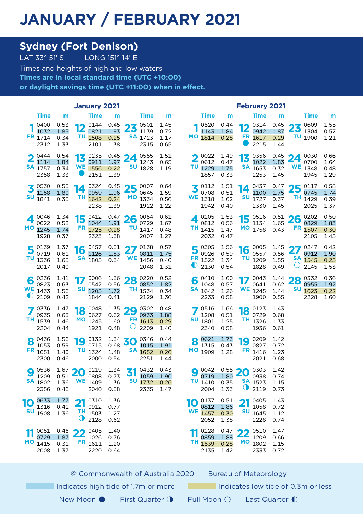#### **JANUARY / FEBRUARY 2021**

# **Sydney (Fort Denison)**<br>LAT 33° 51' S<br>LONG 151° 14' E

LONG  $151^\circ$  14' E Times and heights of high and low waters **Times are in local standard time (UTC +10:00) or daylight savings time (UTC +11:00) when in effect.**

|                         | January 2021                                 |                              |         |                                                          |                                                |                        |                                                                       | <b>February 2021</b>         |                               |                                                       |                                        |          |                                        |                                                |    |                                                                    |                              |
|-------------------------|----------------------------------------------|------------------------------|---------|----------------------------------------------------------|------------------------------------------------|------------------------|-----------------------------------------------------------------------|------------------------------|-------------------------------|-------------------------------------------------------|----------------------------------------|----------|----------------------------------------|------------------------------------------------|----|--------------------------------------------------------------------|------------------------------|
|                         | Time                                         | m                            |         | <b>Time</b>                                              | m                                              |                        | <b>Time</b>                                                           | m                            |                               | Time                                                  | m                                      |          | Time                                   | m                                              |    | <b>Time</b>                                                        | m                            |
|                         | 0400<br>1032<br>FR 1714<br>2312              | 0.53<br>1.85<br>0.34<br>1.33 | Ю<br>12 | 0144<br>0821<br>TU 1508<br>2101                          | 1.93<br>0.25<br>1.38                           | $\frac{0.45}{1.93}$ 23 | 0501<br>1139<br><b>SA</b> 1723<br>2315                                | 1.45<br>0.72<br>1.17<br>0.65 |                               | 0520<br>1143<br>MO 1814                               | 0.44<br>1.84<br>0.28                   | 16<br>IZ | 0314<br>0942<br>FR 1617<br>2215        | $\frac{0.45}{1.87}$ 23<br>1.87<br>0.29<br>1.44 |    | 0609<br>1304<br>$TU_{1900}$                                        | 1.55<br>0.57<br>1.21         |
| $\overline{\mathbf{2}}$ | 0444<br>1114<br>$SA$ <sub>1757</sub><br>2358 | 0.54<br>1.84<br>0.34<br>1.33 |         | $13 \frac{0235}{0911}$<br>0911<br><b>WE</b> 1556<br>2151 | $\frac{0.45}{1.07}$ 24<br>1.97<br>0.22<br>1.39 |                        | 0555<br>1243<br><b>SU</b> 1828                                        | 1.51<br>0.65<br>1.19         | $\overline{\mathbf{2}}$<br>τu | 0022<br>0612<br>1229<br>1857                          | 1.49<br>0.47<br>1.75<br>0.33           | 13       | 0356<br>1022<br><b>SA</b> 1653<br>2253 | $^{0.45}_{1.97}$ 24<br>1.83<br>0.32<br>1.45    |    | 0030<br>0700<br><b>WE</b> 1348<br>1945                             | 0.66<br>1.64<br>0.48<br>1.29 |
| 3<br>SU                 | 0530<br>1158<br>1841                         | 0.55<br>1.80<br>0.35         | 14      | 0324<br>0959<br>TH 1642<br>2238                          | 0.45<br>1.96<br>0.24<br>1.39                   |                        | $25\substack{0007\\0645}$<br>0645<br>MO 1334<br>1922                  | 0.64<br>1.59<br>0.56<br>1.22 | J                             | $\overline{2}$ 0112<br>0708<br><b>WE</b> 1318<br>1942 | 1.51<br>0.51<br>1.62<br>0.40           | 14       | 0437<br>1100<br><b>SU</b> 1727<br>2330 | 1.75<br>0.37<br>1.45                           | TН | $\frac{0.47}{1.75}$ 25 $\frac{0117}{0745}$<br>0745<br>1429<br>2025 | 0.58<br>1.74<br>0.39<br>1.37 |
| 4                       | 0046<br>0622<br>MO 1245<br>1928              | 1.34<br>0.58<br>1.74<br>0.37 |         | $15\frac{0412}{1044}$<br>1044<br>FR 1725<br>2323         | $\frac{0.47}{1.91}$ 26<br>1.91<br>0.28<br>1.38 | τυ                     | 0054<br>0729<br>1417<br>2007                                          | 0.61<br>1.67<br>0.48<br>1.27 |                               | 0205<br>0812<br>TH 1415<br>2032                       | 1.53<br>0.56<br>1.47<br>0.47           | 15<br>МO | 0516<br>1134<br>1758                   | $^{0.51}_{1.65}$ 26<br>1.65<br>0.43            |    | 0202<br>0829<br>FR 1507<br>2105                                    | 0.50<br>1.83<br>0.30<br>1.45 |
| 5                       | 0139<br>0719<br>TU 1336<br>2017              | 1.37<br>0.61<br>1.65<br>0.40 |         | $16\frac{0457}{1125}$<br>1126<br><b>SA</b> 1805          | 0.51<br>1.83<br>0.34                           | 27                     | 0138<br>0811<br><b>WE</b> 1456<br>2048                                | 0.57<br>1.75<br>0.40<br>1.31 | Э                             | 0305<br>0926<br>$FR$ 1522<br>2130                     | 1.56<br>0.59<br>1.34<br>0.54           |          | 16 0005<br>0557<br>TU 1209<br>1828     | $\frac{1.45}{0.56}$ 27<br>0.56<br>1.55<br>0.49 | Ő  | 0247<br>0912<br><b>SA</b> 1545<br>2145                             | 0.42<br>1.90<br>0.25<br>1.53 |
| 6<br>$\mathbb U$        | 0236<br>0823<br><b>WE</b> 1433<br>2109       | 1.41<br>0.63<br>1.56<br>0.42 |         | 0006<br>0542<br><b>SU</b> 1205<br>1844                   | 0.56<br>1.72<br>0.41                           |                        | $1.36$ 28 0220<br>0852<br>TH $\overline{1534}$<br>2129                | 0.52<br>1.82<br>0.34<br>1.36 | 6                             | 0410<br>1048<br><b>SA</b> 1642<br>2233                | 1.60<br>0.57<br>1.26<br>0.58           | 17       | 0043<br>0641<br><b>WE</b> 1245<br>1900 | 0.62<br>1.44<br>0.55                           | SU | $1.44$ 28 $0332$<br>0955<br>1623<br>2228                           | 0.36<br>1.92<br>0.22<br>1.60 |
|                         | 0336<br>0935<br>TH 1539<br>2204              | 1.47<br>0.63<br>1.46<br>0.44 | 18      | 0048<br>0627<br>MO 1245<br>1921                          | 0.62<br>1.60<br>0.48                           | $\circ$                | $\frac{1.35}{0.62}$ 29 $\frac{0302}{0933}$<br>0933<br>FR 1613<br>2209 | 0.48<br>1.88<br>0.29<br>1.40 | SU                            | 0516<br>1208<br>1801<br>2340                          | 1.66<br>0.51<br>1.25<br>0.58           | 18       | 0123<br>0729<br>TH 1326<br>1936        | 1.43<br>0.68<br>1.33<br>0.61                   |    |                                                                    |                              |
| 8                       | 0436<br>1053<br>FR 1651<br>2300              | 1.56<br>0.59<br>1.40<br>0.46 | 19      | 0132<br>0715<br><b>TU</b> 1324<br>2000                   | $\frac{1.34}{0.68}$ 30<br>0.68<br>1.48<br>0.54 |                        | 0346<br>1015<br><b>SA</b> 1652<br>2251                                | 0.44<br>1.91<br>0.26<br>1.44 | 8                             | 0621<br>1315<br>MO 1909                               | 1.73<br>0.43<br>1.28                   | 19       | 0209<br>0827<br>FR 1416<br>2021        | 1.42<br>0.72<br>1.23<br>0.68                   |    |                                                                    |                              |
| 9                       | 0536<br>1209<br><b>SA</b> 1802<br>2356       | 1.67<br>0.51<br>1.36<br>0.46 | 20      | 0219<br>0808<br><b>WE</b> 1409<br>2040                   | 1.34<br>0.73<br>1.36<br>0.58                   | 31<br>SU               | 0432<br>1059<br>1732<br>2335                                          | 0.43<br>1.90<br>0.26<br>1.47 | 9                             | 0042<br>0719<br><b>TU</b> 1410<br>2004                | $\frac{0.55}{1.80}$ 20<br>0.35<br>1.33 | ∪        | 0303<br>0938<br><b>SA</b> 1523<br>2119 | 1.42<br>0.74<br>1.15<br>0.73                   |    |                                                                    |                              |
| 10                      | 0633<br>1316<br><b>SU</b> 1908               | 1.77<br>0.41<br>1.36         | 21<br>O | 0310<br>0912<br>$TH$ <sub>1503</sub><br>2128             | 1.36<br>0.77<br>1.27<br>0.62                   |                        |                                                                       |                              | 10<br>WE                      | 0137<br>0812<br>1457<br>2052                          | 0.51<br>1.86<br>0.30<br>1.38           | 21       | 0405<br>1058<br><b>SU</b> 1645<br>2228 | 1.43<br>0.72<br>1.12<br>0.74                   |    |                                                                    |                              |
|                         | 0051<br>0729<br><b>MO</b> 1415<br>2008       | 0.46<br>1.87<br>0.31<br>1.37 | 22      | 0405<br>1026<br>FR 1611<br>2220                          | 1.40<br>0.76<br>1.20<br>0.64                   |                        |                                                                       |                              | 11                            | 0228<br>0859<br>TH 1539<br>2135                       | 0.47<br>1.88<br>0.28<br>1.42           | 22       | 0510<br>1209<br>MO 1802<br>2333        | 1.47<br>0.66<br>1.15<br>0.72                   |    |                                                                    |                              |

© Commonwealth of Australia 2020 Bureau of Meteorology

Indicates high tide of 1.7m or more Indicates low tide of 0.3m or less

New Moon ● First Quarter ↑ Full Moon ○ Last Quarter ●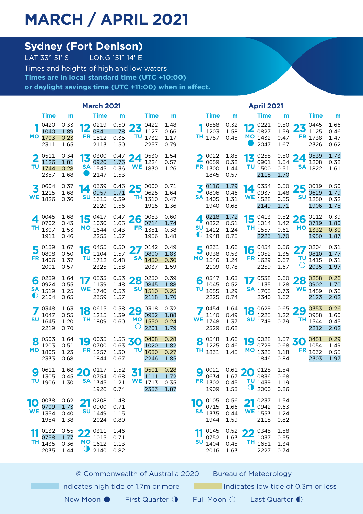### **MARCH / APRIL 2021**

# **Sydney (Fort Denison)**<br>LAT 33° 51' S<br>LONG 151° 14' E

LONG  $151^\circ$  14' E Times and heights of high and low waters **Times are in local standard time (UTC +10:00) or daylight savings time (UTC +11:00) when in effect.**

|        | <b>March 2021</b>                      |                              |          |                                               |                                                |          |                                                                              |                              | <b>April 2021</b>      |                                        |                                             |                 |                                                |                                                |                                              |                                                                              |                              |
|--------|----------------------------------------|------------------------------|----------|-----------------------------------------------|------------------------------------------------|----------|------------------------------------------------------------------------------|------------------------------|------------------------|----------------------------------------|---------------------------------------------|-----------------|------------------------------------------------|------------------------------------------------|----------------------------------------------|------------------------------------------------------------------------------|------------------------------|
|        | <b>Time</b>                            | m                            |          | <b>Time</b>                                   | m                                              |          | Time                                                                         | m                            |                        | Time                                   | m                                           |                 | Time                                           | m                                              |                                              | Time                                                                         | m                            |
|        | 0420<br>1040<br>MO 1703<br>2311        | 0.33<br>1.89<br>0.23<br>1.65 | ıА<br>12 | 0219<br>0841<br>FR 1512<br>2113               | 1.78<br>0.35<br>1.50                           |          | $\frac{0.50}{1.78}$ 23 $\frac{0422}{1127}$<br>1127<br><b>TU</b> 1732<br>2257 | 1.48<br>0.66<br>1.17<br>0.79 |                        | 0558<br>1203<br>TH 1757                | 0.32<br>1.58<br>0.45                        |                 | 0221<br>$\mathbf{Z}_{0827}$<br>MO 1432<br>2047 | 1.59<br>0.47<br>1.67                           |                                              | $\frac{0.50}{1.59}$ 23 $\frac{0.445}{1125}$<br>1125<br>FR 1738<br>2326       | 1.66<br>0.46<br>1.47<br>0.62 |
| τu     | 0511<br>1126<br>1744<br>2357           | 0.34<br>1.81<br>0.28<br>1.68 | 13       | 0300<br>0920<br><b>SA</b> 1545<br>2147        | $\frac{0.47}{1.76}$ 24<br>1.76<br>0.36<br>1.53 |          | 0530<br>1224<br><b>WE</b> 1830                                               | 1.54<br>0.57<br>1.26         |                        | 0022<br>0659<br>FR 1300<br>1845        | 1.85<br>0.38<br>1.44<br>0.57                | 13              | 0258<br>0901<br><b>TU</b> 1500<br>2118         | $^{0.50}_{1.54}$ 24<br>1.54<br>0.51<br>1.70    |                                              | 0539<br>1208<br><b>SA</b> 1822                                               | 1.73<br>0.38<br>1.61         |
| WE     | 0604<br>1215<br>1826                   | 0.37<br>1.68<br>0.36         | 14<br>SU | 0339<br>0957<br>1615<br>2220                  | 1.71<br>0.39<br>1.56                           |          | $\frac{0.46}{1.71}$ 25 0000<br>0625<br><b>TH</b> 1310<br>1915                | 0.71<br>1.64<br>0.47<br>1.36 | SA                     | 0116<br>0806<br>1405<br>1940           | 1.79<br>0.46<br>1.31<br>0.68                | WE              | 14 0334<br>0937<br>1528<br>2149                | 1.48<br>0.55<br>1.71                           |                                              | $^{0.50}_{1.48}$ 25 $^{0019}_{0629}$<br>0629<br>$SU$ <sub>1250</sub><br>1906 | 0.50<br>1.79<br>0.32<br>1.75 |
|        | 0045<br>0702<br>TH 1307<br>1911        | 1.68<br>0.43<br>1.53<br>0.46 |          | $15^{0417}_{1030}$<br>1030<br>MO 1644<br>2253 | $^{0.47}_{1.65}$ 26<br>1.65<br>0.43<br>1.57    |          | 0053<br>0714<br>FR 1351<br>1956                                              | 0.60<br>1.74<br>0.38<br>1.48 | SU<br>$\mathbf\bullet$ | 0218<br>0822<br>1422<br>1948           | 1.72<br>0.51<br>1.24<br>0.75                |                 | 15 $^{0413}_{1014}$<br>1014<br>TH 1557<br>2223 | $\frac{0.52}{1.42}$ 26<br>1.42<br>0.61<br>1.70 |                                              | 0112<br>0719<br>MO 1332<br>1950                                              | 0.39<br>1.80<br>0.30<br>1.87 |
| 5      | 0139<br>0808<br>FR 1406<br>2001        | 1.67<br>0.50<br>1.37<br>0.57 |          | $16^{0455}$<br>1104<br><b>TU</b> 1712<br>2325 | 0.50<br>1.57<br>0.48<br>1.58                   | 27<br>SA | 0142<br>0800<br>1430<br>2037                                                 | 0.49<br>1.83<br>0.30<br>1.59 | 5                      | 0231<br>0938<br>MO 1546<br>2109        | 1.66<br>0.53<br>1.24<br>0.78                |                 | $16^{0454}_{1052}$<br>1052<br>FR 1629<br>2259  | 0.56<br>1.35<br>0.67<br>1.67                   | 27<br>τu<br>O                                | 0204<br>0810<br>1415<br>2035                                                 | 0.31<br>1.77<br>0.31<br>1.97 |
| 6<br>◐ | 0239<br>0924<br><b>SA</b> 1519<br>2104 | 1.64<br>0.55<br>1.25<br>0.65 |          | 0533<br>1139<br><b>WE</b> 1740<br>2359        | 1.48<br>0.53<br>1.57                           | SU       | $^{0.53}_{1.48}$ 28 $^{0230}_{0845}$<br>0845<br>1510<br>2118                 | 0.39<br>1.88<br>0.25<br>1.70 | 6<br>τυ                | 0347<br>1045<br>1655<br>2225           | 1.63<br>0.52<br>1.29<br>0.74                |                 | 0538<br>1135<br><b>SA</b> 1705<br>2340         | 1.28<br>0.73<br>1.62                           | $\frac{0.60}{1.28}$ 28 $\frac{0.258}{0.902}$ | 0902<br><b>WE</b> 1459<br>2123                                               | 0.26<br>1.70<br>0.36<br>2.02 |
|        | 0348<br>1047<br><b>SU</b> 1645<br>2219 | 1.63<br>0.55<br>1.20<br>0.70 |          | $18^{0615}_{1215}$<br>1215<br>TH 1809         | $^{0.58}_{1.70}$ 29<br>1.39<br>0.60            | O        | 0318<br>0932<br>MO 1550<br>2201                                              | 0.32<br>1.88<br>0.24<br>1.79 |                        | 0454<br>1140<br><b>WE</b> 1748<br>2329 | 1.64<br>0.49<br>1.37<br>0.68                |                 | $18^{0629}_{1225}$<br>1225<br><b>SU</b> 1749   | $\frac{0.65}{1.22}$ 29<br>1.22<br>0.79         |                                              | 0353<br>0958<br>TH 1544<br>2212                                              | 0.26<br>1.60<br>0.45<br>2.02 |
| 8      | 0503<br>1203<br>MO 1805<br>2333        | 1.64<br>0.51<br>1.23<br>0.68 | 19       | 0035<br>0700<br>FR 1257<br>1844               | $\frac{1.55}{0.63}$ 30<br>0.63<br>1.30<br>0.67 | τυ       | 0408<br>1020<br>1630<br>2246                                                 | 0.28<br>1.82<br>0.27<br>1.85 | 8<br>TH.               | 0548<br>1225<br>1831                   | 1.66<br>0.46<br>1.45                        | 19              | 0028<br>0729<br>MO 1325<br>1846                | $\frac{1.57}{0.68}$ 30<br>1.18<br>0.84         |                                              | 0451<br>1054<br>FR 1632<br>2303                                              | 0.29<br>1.49<br>0.55<br>1.97 |
| 9      | 0611<br>1305<br><b>TU</b> 1906         | 1.68<br>0.45<br>1.30         | 20       | 0117<br>0754<br><b>SA</b> 1345<br>1926        | 1.52<br>0.68<br>1.21<br>0.74                   | 31       | 0501<br>1111<br><b>WE</b> 1713<br>2333                                       | 0.28<br>1.72<br>0.35<br>1.87 | 9                      | 0021<br>0634<br>FR 1302<br>1909        | $^{0.61}_{1.67}$ 20<br>1.67<br>0.45<br>1.53 | O               | 0128<br>0836<br>TU 1439<br>2000                | 1.54<br>0.68<br>1.19<br>0.86                   |                                              |                                                                              |                              |
| 10     | 0038<br>0709<br><b>WE</b> 1354<br>1954 | 0.62<br>1.73<br>0.40<br>1.38 | 21       | 0208<br>0900<br><b>SU</b> 1449<br>2024        | 1.48<br>0.71<br>1.15<br>0.80                   |          |                                                                              |                              | 10                     | 0105<br>0715<br><b>SA</b> 1335<br>1944 | 0.56<br>1.66<br>0.44<br>1.59                | 21<br><b>WE</b> | 0237<br>0942<br>1553<br>2118                   | 1.54<br>0.63<br>1.24<br>0.82                   |                                              |                                                                              |                              |
| TH.    | 0132<br>0758<br>1435<br>2035           | 0.55<br>1.77<br>0.36<br>1.44 | 22       | 0311<br>1015<br>MO 1612<br>$\bigcirc$ 2140    | 1.46<br>0.71<br>1.13<br>0.82                   |          |                                                                              |                              | SU                     | 0145<br>0752<br>1404<br>2016           | 0.52<br>1.63<br>0.45<br>1.63                | 22              | 0345<br>1037<br>TH 1651<br>2227                | 1.58<br>0.55<br>1.34<br>0.74                   |                                              |                                                                              |                              |

|                    | © Commonwealth of Australia 2020    |                     | <b>Bureau of Meteorology</b>       |  |
|--------------------|-------------------------------------|---------------------|------------------------------------|--|
|                    | Indicates high tide of 1.7m or more |                     | Indicates low tide of 0.3m or less |  |
| New Moon $\bullet$ | <b>First Quarter 1</b>              | Full Moon $\bigcap$ | Last Quarter $\bigcap$             |  |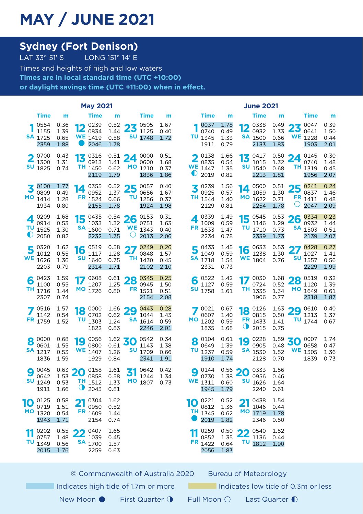### **MAY / JUNE 2021**

## **Sydney (Fort Denison)**<br>LAT 33° 51' S<br>LONG 151° 14' E

LONG 151° 14' E Times and heights of high and low waters **Times are in local standard time (UTC +10:00) or daylight savings time (UTC +11:00) when in effect.**

|           | <b>May 2021</b>                        |                              |           |                                                      |                                                |          |                                                                                |                              | <b>June 2021</b>             |                                            |                                             |          |                                                       |                                                |          |                                                                       |                              |
|-----------|----------------------------------------|------------------------------|-----------|------------------------------------------------------|------------------------------------------------|----------|--------------------------------------------------------------------------------|------------------------------|------------------------------|--------------------------------------------|---------------------------------------------|----------|-------------------------------------------------------|------------------------------------------------|----------|-----------------------------------------------------------------------|------------------------------|
|           | Time                                   | m                            |           | Time                                                 | m                                              |          | <b>Time</b>                                                                    | m                            |                              | <b>Time</b>                                | m                                           |          | Time                                                  | m                                              |          | Time                                                                  | m                            |
|           | 0554<br>1155<br><b>SA</b> 1725<br>2359 | 0.36<br>1.39<br>0.65<br>1.88 | $\bullet$ | 100239<br>$12_{0834}$<br><b>WE</b> 1419<br>2046      | 1.44<br>0.58<br>1.78                           |          | $\frac{0.52}{1.44}$ 23 $\frac{0505}{1125}$<br>1125<br><b>SU</b> 1748           | 1.67<br>0.40<br>1.72         |                              | 0037<br>0740<br>TU 1345<br>1911            | 1.78<br>0.49<br>1.33<br>0.79                | 19       | 0338<br>$12_{0932}$<br><b>SA</b> 1500<br>2133         | 0.49<br>1.33<br>0.66<br>1.83                   |          | $23^{0047}_{0641}$<br>0641<br><b>WE</b> 1228<br>1903                  | 0.39<br>1.50<br>0.44<br>2.01 |
| 2<br>SU   | 0700<br>1300<br>1825                   | 0.43<br>1.31<br>0.74         |           | 13 $^{0316}_{0912}$<br>0913<br>TH 1450<br>2119       | 1.41<br>0.62<br>1.79                           |          | $^{0.51}_{1.41}$ 24 $^{0000}_{0600}$<br>0600<br>MO 1210<br>1836                | 0.51<br>1.68<br>0.37<br>1.86 | $\overline{\mathbf{2}}$<br>U | 0138<br>0835<br><b>WE</b> 1447<br>2019     | 1.66<br>0.54<br>1.35<br>0.82                |          | 13 $^{0417}_{1015}$<br>1015<br><b>SU</b> 1540<br>2213 | $^{0.50}_{1.22}$ 24<br>1.32<br>0.68<br>1.81    |          | 0145<br>0740<br>TH 1319<br>1956                                       | 0.30<br>1.48<br>0.45<br>2.07 |
| 3         | 0100<br>0809<br>MO 1414<br>1934        | 1.77<br>0.49<br>1.28<br>0.80 | 14        | 0355<br>0952<br>FR 1524<br>2155                      | 1.37<br>0.66<br>1.78                           | τu       | $\frac{0.52}{1.37}$ 25 $\frac{0057}{0656}$<br>0656<br>1256<br>1924             | 0.40<br>1.67<br>0.37<br>1.98 | z                            | 0239<br>0925<br>TH <sub>1544</sub><br>2129 | 1.56<br>0.57<br>1.40<br>0.81                | 14       | 0500<br>1059<br>MO 1622<br>2254                       | 1.30<br>0.71<br>1.78                           | Ő        | $\frac{0.51}{1.30}$ 25 $\frac{0241}{0837}$<br>0837<br>FR 1411<br>2047 | 0.24<br>1.46<br>0.48<br>2.09 |
| $\bullet$ | 0209<br>0914<br>$TU$ 1525<br>2050      | 1.68<br>0.53<br>1.30<br>0.82 |           | $15^{0435}_{1032}$<br>1033<br><b>SA</b> 1600<br>2232 | 1.32<br>0.71<br>1.75                           | Ő        | $\frac{0.54}{1.32}$ 26 $\frac{0.153}{0.751}$<br>0751<br><b>WE</b> 1343<br>2013 | 0.31<br>1.63<br>0.40<br>2.06 | FR                           | 0339<br>1009<br>1633<br>2234               | 1.49<br>0.59<br>1.47<br>0.78                | 15<br>τu | 0545<br>1146<br>1710<br>2339                          | $\frac{0.53}{1.29}$ 26<br>1.29<br>0.73<br>1.73 |          | 0334<br>0932<br><b>SA</b> 1503<br>2139                                | 0.23<br>1.44<br>0.51<br>2.07 |
| 5         | 0320<br>1012<br><b>WE</b> 1626<br>2203 | 1.62<br>0.55<br>1.36<br>0.79 | 16        | 0519<br>1117<br><b>SU</b> 1640<br>2314               | 0.58<br>1.28<br>0.75<br>1.71                   | 27       | 0249<br>0848<br>TH 1430<br>2102                                                | 0.26<br>1.57<br>0.45<br>2.10 | Э                            | 0433<br>1049<br><b>SA</b> 1718<br>2331     | 1.45<br>0.59<br>1.54<br>0.73                |          | $16\frac{0633}{1270}$<br>1238<br><b>WE</b> 1804       | 0.53<br>1.30<br>0.76                           | 27<br>SU | 0428<br>1027<br>1557<br>2229                                          | 0.27<br>1.41<br>0.56<br>1.99 |
| 6         | 0423<br>1100<br>TH 1716<br>2307        | 1.59<br>0.55<br>1.44<br>0.74 | 17        | 0608<br>1207<br>MO 1726                              | 1.25<br>0.80                                   |          | $^{0.61}_{1.25}$ 28 $^{0345}_{0945}$<br>0945<br>FR 1521<br>2154                | 0.25<br>1.50<br>0.51<br>2.08 | 6<br>SU                      | 0522<br>1127<br>1758                       | 1.42<br>0.59<br>1.61                        |          | $17^{0030}$<br>0724<br>TH 1335<br>1906                | 1.68<br>0.52<br>1.34<br>0.77                   |          | $28^{0519}_{1120}$<br>1120<br>MO 1649<br>2318                         | 0.32<br>1.39<br>0.61<br>1.87 |
|           | 0516<br>1142<br>FR 1759                | 1.57<br>0.54<br>1.52         |           | $18\degree 0000$<br>0702<br><b>TU</b> 1303<br>1822   | $1.66$ 29<br>0.62<br>1.24<br>0.83              |          | 0443<br>1044<br><b>SA</b> 1614<br>2246                                         | 0.28<br>1.43<br>0.59<br>2.01 | мо                           | 0021<br>0607<br>1202<br>1835               | 0.67<br>1.40<br>0.59<br>1.68                |          | 18 0126<br>0815<br>FR 1433<br><b>1</b> 2015           | 0.50<br>1.41<br>0.75                           |          | $1.63$ 29 0610<br>1213<br>TU 1744                                     | 0.40<br>1.37<br>0.67         |
| 8         | 0000<br>0601<br><b>SA</b> 1217<br>1836 | 0.68<br>1.55<br>0.53<br>1.59 | 19        | 0056<br>0800<br><b>WE</b> 1407<br>1929               | $\frac{1.62}{0.61}$ 30<br>0.61<br>1.26<br>0.84 |          | 0542<br>1143<br><b>SU</b> 1709<br>2341                                         | 0.34<br>1.38<br>0.66<br>1.91 | 8<br>τu                      | 0104<br>0649<br>1237<br>1910               | 0.61<br>1.39<br>0.59<br>1.74                | 19       | 0228<br>0905<br><b>SA</b> 1530<br>2128                | $\frac{1.59}{0.48}$ 30<br>0.48<br>1.52<br>0.70 |          | 0007<br>0658<br><b>WE</b> 1305<br>1839                                | 1.74<br>0.47<br>1.36<br>0.73 |
| 9<br>SU   | 0045<br>0642<br>1249<br>1911           | 0.63<br>1.53<br>0.53<br>1.66 | 20<br>◑   | 0158<br>0858<br><b>TH</b> 1512<br>2043               | 1.61<br>0.58<br>1.33<br>0.81                   | 31<br>МO | 0642<br>1244<br>1807                                                           | 0.42<br>1.34<br>0.73         | О<br>WE                      | 0144<br>0730<br>1311<br>1945               | $^{0.56}_{1.38}$ 20<br>1.38<br>0.60<br>1.79 | SU       | 0333<br>0956<br>1626<br>2240                          | 1.56<br>0.46<br>1.64<br>0.61                   |          |                                                                       |                              |
| 10        | 0125<br>0719<br>MO 1320<br>1943        | 0.58<br>1.51<br>0.54<br>1.71 | 21        | 0304<br>0950<br>FR 1609<br>2154                      | 1.62<br>0.52<br>1.44<br>0.74                   |          |                                                                                |                              | 10<br>TН                     | 0221<br>0812<br>1345<br>2019               | 0.52<br>1.36<br>0.62<br>1.82                | 21       | 0438<br>1046<br>MO 1719<br>2346                       | 1.54<br>0.44<br>1.78<br>0.50                   |          |                                                                       |                              |
|           | 0202<br>0757<br>TU 1349<br>2015        | 0.55<br>1.48<br>0.56<br>1.76 | 22        | 0407<br>1039<br><b>SA</b> 1700<br>2259               | 1.65<br>0.45<br>1.57<br>0.63                   |          |                                                                                |                              |                              | 0259<br>0852<br>FR 1422<br>2056            | 0.50<br>1.35<br>0.64<br>1.83                | 22       | 0540<br>1136<br><b>TU</b> 1812                        | 1.52<br>0.44<br>1.90                           |          |                                                                       |                              |

© Commonwealth of Australia 2020 Bureau of Meteorology

Indicates high tide of 1.7m or more Indicates low tide of 0.3m or less

- New Moon First Quarter ↑ Full Moon Last Quarter ●
- 
-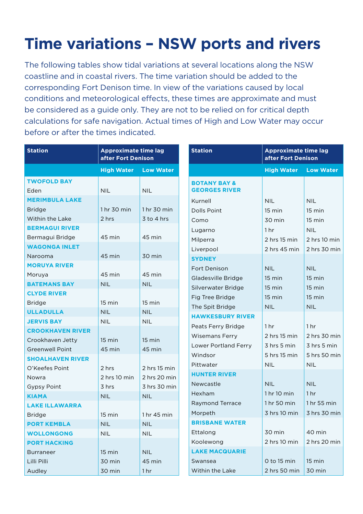# **Time variations – NSW ports and rivers**

The following tables show tidal variations at several locations along the NSW coastline and in coastal rivers. The time variation should be added to the corresponding Fort Denison time. In view of the variations caused by local conditions and meteorological effects, these times are approximate and must be considered as a guide only. They are not to be relied on for critical depth calculations for safe navigation. Actual times of High and Low Water may occur before or after the times indicated.

| <b>Station</b>          | <b>Approximate time lag</b><br>after Fort Denison |                  |
|-------------------------|---------------------------------------------------|------------------|
|                         | <b>High Water</b>                                 | <b>Low Water</b> |
| <b>TWOFOLD BAY</b>      |                                                   |                  |
| Eden                    | <b>NIL</b>                                        | <b>NIL</b>       |
| <b>MERIMBULA LAKE</b>   |                                                   |                  |
| <b>Bridge</b>           | 1 hr 30 min                                       | 1 hr 30 min      |
| Within the Lake         | 2 hrs                                             | 3 to 4 hrs       |
| <b>BERMAGUI RIVER</b>   |                                                   |                  |
| Bermagui Bridge         | 45 min                                            | 45 min           |
| <b>WAGONGA INLET</b>    |                                                   |                  |
| Narooma                 | 45 min                                            | 30 min           |
| <b>MORUYA RIVER</b>     |                                                   |                  |
| Moruya                  | 45 min                                            | 45 min           |
| <b>BATEMANS BAY</b>     | <b>NIL</b>                                        | <b>NIL</b>       |
| <b>CLYDE RIVER</b>      |                                                   |                  |
| <b>Bridge</b>           | 15 min                                            | $15 \text{ min}$ |
| <b>ULLADULLA</b>        | <b>NIL</b>                                        | <b>NIL</b>       |
| <b>JERVIS BAY</b>       | <b>NIL</b>                                        | <b>NIL</b>       |
| <b>CROOKHAVEN RIVER</b> |                                                   |                  |
| Crookhaven Jetty        | $15 \text{ min}$                                  | $15 \text{ min}$ |
| <b>Greenwell Point</b>  | 45 min                                            | 45 min           |
| <b>SHOALHAVEN RIVER</b> |                                                   |                  |
| O'Keefes Point          | 2 hrs                                             | $2$ hrs 15 min   |
| Nowra                   | 2 hrs 10 min                                      | 2 hrs 20 min     |
| <b>Gypsy Point</b>      | 3 hrs                                             | 3 hrs 30 min     |
| <b>KIAMA</b>            | <b>NIL</b>                                        | <b>NIL</b>       |
| <b>LAKE ILLAWARRA</b>   |                                                   |                  |
| Bridge                  | $15 \text{ min}$                                  | 1 hr 45 min      |
| <b>PORT KEMBLA</b>      | <b>NIL</b>                                        | <b>NIL</b>       |
| <b>WOLLONGONG</b>       | <b>NIL</b>                                        | <b>NIL</b>       |
| <b>PORT HACKING</b>     |                                                   |                  |
| <b>Burraneer</b>        | 15 min                                            | <b>NIL</b>       |
| Lilli Pilli             | 30 min                                            | 45 min           |
| Audley                  | 30 min                                            | 1 <sub>hr</sub>  |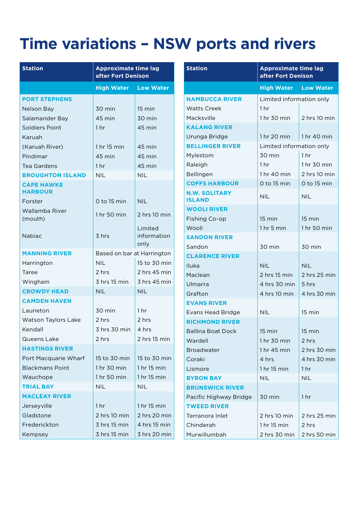### **Time variations – NSW ports and rivers**

| <b>Station</b>                      | <b>Approximate time lag</b><br>after Fort Denison |                                |  |  |  |  |
|-------------------------------------|---------------------------------------------------|--------------------------------|--|--|--|--|
|                                     | <b>High Water</b>                                 | <b>Low Water</b>               |  |  |  |  |
| <b>PORT STEPHENS</b>                |                                                   |                                |  |  |  |  |
| Nelson Bay                          | 30 min                                            | 15 min                         |  |  |  |  |
| Salamander Bay                      | 45 min                                            | 30 min                         |  |  |  |  |
| Soldiers Point                      | 1 <sub>hr</sub>                                   | 45 min                         |  |  |  |  |
| Karuah                              |                                                   |                                |  |  |  |  |
| (Karuah River)                      | 1 hr 15 min                                       | 45 min                         |  |  |  |  |
| Pindimar                            | 45 min                                            | 45 min                         |  |  |  |  |
| Tea Gardens                         | 1 <sub>hr</sub>                                   | 45 min                         |  |  |  |  |
| <b>BROUGHTON ISLAND</b>             | <b>NII</b>                                        | <b>NIL</b>                     |  |  |  |  |
| <b>CAPE HAWKE</b><br><b>HARBOUR</b> |                                                   |                                |  |  |  |  |
| Forster                             | $0$ to 15 min                                     | <b>NIL</b>                     |  |  |  |  |
| Wallamba River<br>(mouth)           | 1 hr 50 min                                       | 2 hrs 10 min                   |  |  |  |  |
| Nabiac                              | 3 hrs                                             | Limited<br>information<br>only |  |  |  |  |
| <b>MANNING RIVER</b>                | Based on bar at Harrington                        |                                |  |  |  |  |
| Harrington                          | <b>NIL</b>                                        | 15 to 30 min                   |  |  |  |  |
| Taree                               | 2 hrs                                             | 2 hrs 45 min                   |  |  |  |  |
| Wingham                             | 3 hrs 15 min                                      | 3 hrs 45 min                   |  |  |  |  |
| <b>CROWDY HEAD</b>                  | <b>NIL</b>                                        | <b>NIL</b>                     |  |  |  |  |
| <b>CAMDEN HAVEN</b>                 |                                                   |                                |  |  |  |  |
| Laurieton                           | 30 min                                            | 1 hr                           |  |  |  |  |
| Watson Taylors Lake                 | 2 hrs                                             | 2 hrs                          |  |  |  |  |
| Kendall                             | 3 hrs 30 min                                      | 4 hrs                          |  |  |  |  |
| Queens Lake                         | 2 hrs                                             | 2 hrs 15 min                   |  |  |  |  |
| <b>HASTINGS RIVER</b>               |                                                   |                                |  |  |  |  |
| Port Macquarie Wharf                | 15 to 30 min                                      | 15 to 30 min                   |  |  |  |  |
| <b>Blackmans Point</b>              | 1 hr 30 min                                       | 1 hr 15 min                    |  |  |  |  |
| Wauchope                            | 1 hr 50 min                                       | 1 hr 15 min                    |  |  |  |  |
| <b>TRIAL BAY</b>                    | <b>NIL</b>                                        | <b>NIL</b>                     |  |  |  |  |
| <b>MACLEAY RIVER</b>                |                                                   |                                |  |  |  |  |
| Jerseyville                         | 1 <sub>hr</sub>                                   | 1 hr 15 min                    |  |  |  |  |
| Gladstone                           | $2$ hrs 10 min                                    | 2 hrs 20 min                   |  |  |  |  |
| Frederickton                        | 3 hrs 15 min                                      | 4 hrs 15 min                   |  |  |  |  |
| Kempsey                             | 3 hrs 15 min                                      | 3 hrs 20 min                   |  |  |  |  |

| <b>Station</b>                              | <b>Approximate time lag</b><br>after Fort Denison |                  |  |  |  |  |
|---------------------------------------------|---------------------------------------------------|------------------|--|--|--|--|
|                                             | <b>High Water</b> Low Water                       |                  |  |  |  |  |
| <b>NAMBUCCA RIVER</b><br><b>Watts Creek</b> | Limited information only<br>1 <sub>hr</sub>       |                  |  |  |  |  |
| Macksville                                  | 1 hr 30 min                                       | 2 hrs 10 min     |  |  |  |  |
| <b>KALANG RIVER</b>                         |                                                   |                  |  |  |  |  |
| Urunga Bridge                               | 1 hr 20 min                                       | 1 hr 40 min      |  |  |  |  |
| <b>BELLINGER RIVER</b>                      | Limited information only                          |                  |  |  |  |  |
| Mylestom                                    | 30 min                                            | 1 hr             |  |  |  |  |
| Raleigh                                     | 1 hr                                              | 1 hr 30 min      |  |  |  |  |
| Bellingen                                   | 1 hr 40 min                                       | 2 hrs 10 min     |  |  |  |  |
| <b>COFFS HARBOUR</b>                        | $0$ to 15 min                                     | 0 to 15 min      |  |  |  |  |
| <b>N.W. SOLITARY</b><br><b>ISLAND</b>       | <b>NIL</b>                                        | <b>NIL</b>       |  |  |  |  |
| <b>WOOLI RIVER</b>                          |                                                   |                  |  |  |  |  |
| Fishing Co-op                               | 15 min                                            | 15 min           |  |  |  |  |
| Wooli                                       | 1 <sub>hr</sub> 5 <sub>min</sub>                  | 1 hr 50 min      |  |  |  |  |
| <b>SANDON RIVER</b>                         |                                                   |                  |  |  |  |  |
| Sandon                                      | 30 min                                            | 30 min           |  |  |  |  |
| <b>CLARENCE RIVER</b>                       |                                                   |                  |  |  |  |  |
| Iluka                                       | <b>NIL</b>                                        | <b>NIL</b>       |  |  |  |  |
| Maclean                                     | $2$ hrs 15 min                                    | 2 hrs 25 min     |  |  |  |  |
| Ulmarra                                     | 4 hrs 30 min                                      | 5 hrs            |  |  |  |  |
| Grafton                                     | 4 hrs 10 min                                      | 4 hrs 30 min     |  |  |  |  |
| <b>EVANS RIVER</b>                          |                                                   |                  |  |  |  |  |
| <b>Evans Head Bridge</b>                    | <b>NIL</b>                                        | $15 \text{ min}$ |  |  |  |  |
| <b>RICHMOND RIVER</b>                       |                                                   |                  |  |  |  |  |
| <b>Ballina Boat Dock</b>                    | 15 min                                            | 15 min           |  |  |  |  |
| Wardell                                     | 1 hr 30 min                                       | 2 hrs            |  |  |  |  |
| <b>Broadwater</b>                           | 1 hr 45 min                                       | 2 hrs 30 min     |  |  |  |  |
| Coraki                                      | 4 hrs                                             | 4 hrs 30 min     |  |  |  |  |
| Lismore                                     | 1 hr 15 min                                       | 1 <sub>hr</sub>  |  |  |  |  |
| <b>BYRON BAY</b>                            | <b>NIL</b>                                        | <b>NIL</b>       |  |  |  |  |
| <b>BRUNSWICK RIVER</b>                      |                                                   |                  |  |  |  |  |
| Pacific Highway Bridge                      | 30 min                                            | 1 <sub>hr</sub>  |  |  |  |  |
| <b>TWEED RIVER</b>                          |                                                   |                  |  |  |  |  |
| Terranora Inlet                             | 2 hrs 10 min                                      | 2 hrs 25 min     |  |  |  |  |
| Chinderah                                   | 1 hr 15 min                                       | 2 hrs            |  |  |  |  |
| Murwillumbah                                | 2 hrs 30 min                                      | 2 hrs 50 min     |  |  |  |  |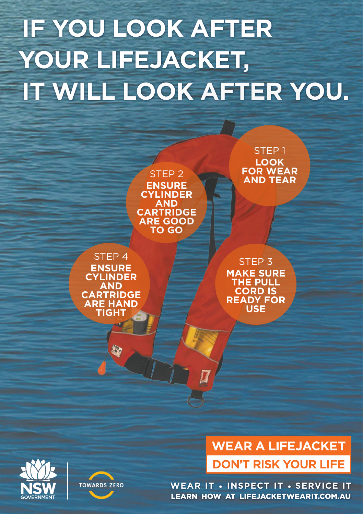# **IF YOU LOOK AFTER YOUR LIFEJACKET, IT WILL LOOK AFTER YOU.**







#### **WEAR A LIFEJACKET DON'T RISK YOUR LIFE**

**WEAR IT • INSPECT IT • SERVICE IT** LEARN HOW AT LIFEJACKETWEARIT.COM.AU